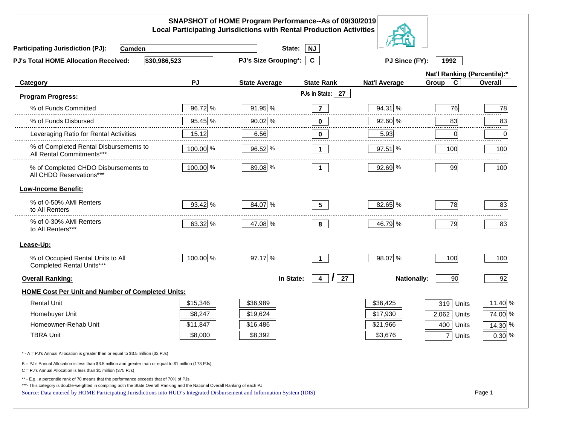| SNAPSHOT of HOME Program Performance--As of 09/30/2019<br><b>Local Participating Jurisdictions with Rental Production Activities</b>                                                                                                                                                                                                                     |          |                      |                                  |                      |                              |                |
|----------------------------------------------------------------------------------------------------------------------------------------------------------------------------------------------------------------------------------------------------------------------------------------------------------------------------------------------------------|----------|----------------------|----------------------------------|----------------------|------------------------------|----------------|
| <b>Participating Jurisdiction (PJ):</b><br><b>Camden</b>                                                                                                                                                                                                                                                                                                 |          | State:               | NJ                               |                      |                              |                |
| \$30,986,523<br>PJ's Total HOME Allocation Received:                                                                                                                                                                                                                                                                                                     |          | PJ's Size Grouping*: | $\mathbf{C}$                     | PJ Since (FY):       | 1992                         |                |
|                                                                                                                                                                                                                                                                                                                                                          |          |                      |                                  |                      | Nat'l Ranking (Percentile):* |                |
| Category                                                                                                                                                                                                                                                                                                                                                 | PJ       | <b>State Average</b> | <b>State Rank</b>                | <b>Nat'l Average</b> | $\mathbf c$<br>Group         | <b>Overall</b> |
| <b>Program Progress:</b>                                                                                                                                                                                                                                                                                                                                 |          |                      | PJs in State:<br>27              |                      |                              |                |
| % of Funds Committed                                                                                                                                                                                                                                                                                                                                     | 96.72 %  | 91.95 %              | $\overline{7}$                   | 94.31 %              | 76                           | 78             |
| % of Funds Disbursed                                                                                                                                                                                                                                                                                                                                     | 95.45 %  | 90.02 %              | 0                                | 92.60 %              | 83                           | 83             |
| Leveraging Ratio for Rental Activities                                                                                                                                                                                                                                                                                                                   | 15.12    | 6.56                 | 0                                | 5.93                 | 0                            | .<br>0         |
| % of Completed Rental Disbursements to<br>All Rental Commitments***                                                                                                                                                                                                                                                                                      | 100.00 % | 96.52 %              | $\mathbf 1$                      | $97.51$ %            | 100                          | 100            |
| % of Completed CHDO Disbursements to<br>All CHDO Reservations***                                                                                                                                                                                                                                                                                         | 100.00 % | 89.08 %              | $\mathbf 1$                      | 92.69 %              | 99                           | 100            |
| <b>Low-Income Benefit:</b>                                                                                                                                                                                                                                                                                                                               |          |                      |                                  |                      |                              |                |
| % of 0-50% AMI Renters<br>to All Renters                                                                                                                                                                                                                                                                                                                 | 93.42 %  | 84.07 %              | 5 <sup>5</sup>                   | 82.65 %              | 78                           | 83             |
| % of 0-30% AMI Renters<br>to All Renters***                                                                                                                                                                                                                                                                                                              | 63.32 %  | 47.08 %              | 8                                | 46.79 %              | 79                           | 83             |
| Lease-Up:                                                                                                                                                                                                                                                                                                                                                |          |                      |                                  |                      |                              |                |
| % of Occupied Rental Units to All<br>Completed Rental Units***                                                                                                                                                                                                                                                                                           | 100.00 % | 97.17 %              | $\mathbf{1}$                     | 98.07 %              | 100                          | 100            |
| <b>Overall Ranking:</b>                                                                                                                                                                                                                                                                                                                                  |          | In State:            | $\prime$<br>27<br>$\overline{4}$ | <b>Nationally:</b>   | 90                           | 92             |
| <b>HOME Cost Per Unit and Number of Completed Units:</b>                                                                                                                                                                                                                                                                                                 |          |                      |                                  |                      |                              |                |
| <b>Rental Unit</b>                                                                                                                                                                                                                                                                                                                                       | \$15,346 | \$36,989             |                                  | \$36,425             | 319<br>Units                 | 11.40 %        |
| Homebuyer Unit                                                                                                                                                                                                                                                                                                                                           | \$8,247  | \$19,624             |                                  | \$17,930             | 2,062<br>Units               | 74.00 %        |
| Homeowner-Rehab Unit                                                                                                                                                                                                                                                                                                                                     | \$11,847 | \$16,486             |                                  | \$21,966             | 400<br>Units                 | 14.30 %        |
| <b>TBRA Unit</b>                                                                                                                                                                                                                                                                                                                                         | \$8,000  | \$8,392              |                                  | \$3,676              | 7 Units                      | $0.30\%$       |
| * - A = PJ's Annual Allocation is greater than or equal to \$3.5 million (32 PJs)                                                                                                                                                                                                                                                                        |          |                      |                                  |                      |                              |                |
| B = PJ's Annual Allocation is less than \$3.5 million and greater than or equal to \$1 million (173 PJs)<br>C = PJ's Annual Allocation is less than \$1 million (375 PJs)                                                                                                                                                                                |          |                      |                                  |                      |                              |                |
| ** - E.g., a percentile rank of 70 means that the performance exceeds that of 70% of PJs.<br>***- This category is double-weighted in compiling both the State Overall Ranking and the National Overall Ranking of each PJ.<br>Source: Data entered by HOME Participating Jurisdictions into HUD's Integrated Disbursement and Information System (IDIS) |          |                      |                                  |                      |                              | Page 1         |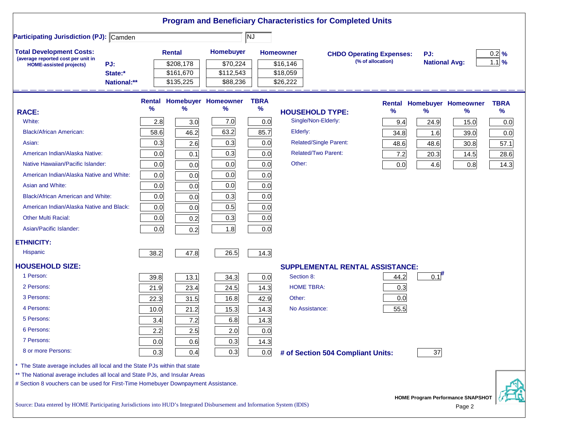|                                                                                                                           |      |               |                                   |             | <b>Program and Beneficiary Characteristics for Completed Units</b> |                                 |      |                      |                                          |                   |
|---------------------------------------------------------------------------------------------------------------------------|------|---------------|-----------------------------------|-------------|--------------------------------------------------------------------|---------------------------------|------|----------------------|------------------------------------------|-------------------|
| <b>Participating Jurisdiction (PJ): Camden</b>                                                                            |      |               |                                   | NJ          |                                                                    |                                 |      |                      |                                          |                   |
| <b>Total Development Costs:</b>                                                                                           |      | <b>Rental</b> | Homebuyer                         |             | <b>Homeowner</b>                                                   | <b>CHDO Operating Expenses:</b> |      | PJ:                  |                                          | $0.2$ %           |
| (average reported cost per unit in<br>PJ:<br><b>HOME-assisted projects)</b>                                               |      | \$208,178     | \$70,224                          |             | \$16,146                                                           | (% of allocation)               |      | <b>National Avg:</b> |                                          | $1.1 \frac{9}{6}$ |
| State:*                                                                                                                   |      | \$161,670     | \$112,543                         |             | \$18,059                                                           |                                 |      |                      |                                          |                   |
| National:**                                                                                                               |      | \$135,225     | \$88,236                          |             | \$26,222                                                           |                                 |      |                      |                                          |                   |
|                                                                                                                           |      |               | <b>Rental Homebuyer Homeowner</b> | <b>TBRA</b> |                                                                    |                                 |      |                      | Rental Homebuyer Homeowner               | <b>TBRA</b>       |
| <b>RACE:</b>                                                                                                              | %    | %             | $\frac{9}{6}$                     | $\%$        | <b>HOUSEHOLD TYPE:</b>                                             |                                 | %    | $\%$                 | ℅                                        | $\frac{9}{6}$     |
| White:                                                                                                                    | 2.8  | 3.0           | 7.0                               | 0.0         | Single/Non-Elderly:                                                |                                 | 9.4  | 24.9                 | 15.0                                     | 0.0               |
| <b>Black/African American:</b>                                                                                            | 58.6 | 46.2          | 63.2                              | 85.7        | Elderly:                                                           |                                 | 34.8 | 1.6                  | 39.0                                     | 0.0               |
| Asian:                                                                                                                    | 0.3  | 2.6           | 0.3                               | 0.0         | <b>Related/Single Parent:</b>                                      |                                 | 48.6 | 48.6                 | 30.8                                     | 57.1              |
| American Indian/Alaska Native:                                                                                            | 0.0  | 0.1           | 0.3                               | 0.0         | <b>Related/Two Parent:</b>                                         |                                 | 7.2  | 20.3                 | 14.5                                     | 28.6              |
| Native Hawaiian/Pacific Islander:                                                                                         | 0.0  | 0.0           | 0.0                               | 0.0         | Other:                                                             |                                 | 0.0  | 4.6                  | 0.8                                      | 14.3              |
| American Indian/Alaska Native and White:                                                                                  | 0.0  | 0.0           | 0.0                               | 0.0         |                                                                    |                                 |      |                      |                                          |                   |
| Asian and White:                                                                                                          | 0.0  | 0.0           | 0.0                               | 0.0         |                                                                    |                                 |      |                      |                                          |                   |
| <b>Black/African American and White:</b>                                                                                  | 0.0  | 0.0           | 0.3                               | 0.0         |                                                                    |                                 |      |                      |                                          |                   |
| American Indian/Alaska Native and Black:                                                                                  | 0.0  | 0.0           | 0.5                               | 0.0         |                                                                    |                                 |      |                      |                                          |                   |
| <b>Other Multi Racial:</b>                                                                                                | 0.0  | 0.2           | 0.3                               | 0.0         |                                                                    |                                 |      |                      |                                          |                   |
| Asian/Pacific Islander:                                                                                                   | 0.0  | 0.2           | 1.8                               | 0.0         |                                                                    |                                 |      |                      |                                          |                   |
| <b>ETHNICITY:</b>                                                                                                         |      |               |                                   |             |                                                                    |                                 |      |                      |                                          |                   |
| Hispanic                                                                                                                  | 38.2 | 47.8          | 26.5                              | 14.3        |                                                                    |                                 |      |                      |                                          |                   |
| <b>HOUSEHOLD SIZE:</b>                                                                                                    |      |               |                                   |             | <b>SUPPLEMENTAL RENTAL ASSISTANCE:</b>                             |                                 |      |                      |                                          |                   |
| 1 Person:                                                                                                                 | 39.8 | 13.1          | 34.3                              | 0.0         | Section 8:                                                         |                                 | 44.2 | $0.1$ <sup>#</sup>   |                                          |                   |
| 2 Persons:                                                                                                                | 21.9 | 23.4          | 24.5                              | 14.3        | <b>HOME TBRA:</b>                                                  |                                 | 0.3  |                      |                                          |                   |
| 3 Persons:                                                                                                                | 22.3 | 31.5          | 16.8                              | 42.9        | Other:                                                             |                                 | 0.0  |                      |                                          |                   |
| 4 Persons:                                                                                                                | 10.0 | 21.2          | 15.3                              | 14.3        | No Assistance:                                                     |                                 | 55.5 |                      |                                          |                   |
| 5 Persons:                                                                                                                | 3.4  | 7.2           | 6.8                               | 14.3        |                                                                    |                                 |      |                      |                                          |                   |
| 6 Persons:                                                                                                                | 2.2  | 2.5           | 2.0                               | 0.0         |                                                                    |                                 |      |                      |                                          |                   |
| 7 Persons:                                                                                                                | 0.0  | 0.6           | 0.3                               | 14.3        |                                                                    |                                 |      |                      |                                          |                   |
| 8 or more Persons:                                                                                                        | 0.3  | 0.4           | 0.3                               | 0.0         | # of Section 504 Compliant Units:                                  |                                 |      | 37                   |                                          |                   |
| * The State average includes all local and the State PJs within that state                                                |      |               |                                   |             |                                                                    |                                 |      |                      |                                          |                   |
| ** The National average includes all local and State PJs, and Insular Areas                                               |      |               |                                   |             |                                                                    |                                 |      |                      |                                          |                   |
| # Section 8 vouchers can be used for First-Time Homebuyer Downpayment Assistance.                                         |      |               |                                   |             |                                                                    |                                 |      |                      |                                          |                   |
| Source: Data entered by HOME Participating Iurisdictions into HUD's Integrated Disbursement and Information System (IDIS) |      |               |                                   |             |                                                                    |                                 |      |                      | <b>HOME Program Performance SNAPSHOT</b> |                   |

Source: Data entered by HOME Participating Jurisdictions into HUD's Integrated Disbursement and Information System (IDIS) Page 2